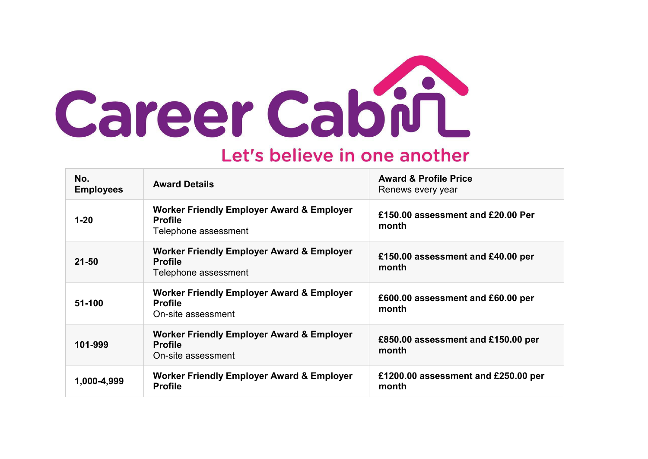

## Let's believe in one another

| No.<br><b>Employees</b> | <b>Award Details</b>                                                                           | <b>Award &amp; Profile Price</b><br>Renews every year |
|-------------------------|------------------------------------------------------------------------------------------------|-------------------------------------------------------|
| $1 - 20$                | <b>Worker Friendly Employer Award &amp; Employer</b><br><b>Profile</b><br>Telephone assessment | £150.00 assessment and £20.00 Per<br>month            |
| $21 - 50$               | <b>Worker Friendly Employer Award &amp; Employer</b><br><b>Profile</b><br>Telephone assessment | £150.00 assessment and £40.00 per<br>month            |
| 51-100                  | <b>Worker Friendly Employer Award &amp; Employer</b><br><b>Profile</b><br>On-site assessment   | £600.00 assessment and £60.00 per<br>month            |
| 101-999                 | <b>Worker Friendly Employer Award &amp; Employer</b><br><b>Profile</b><br>On-site assessment   | £850.00 assessment and £150.00 per<br>month           |
| 1,000-4,999             | <b>Worker Friendly Employer Award &amp; Employer</b><br><b>Profile</b>                         | £1200.00 assessment and £250.00 per<br>month          |